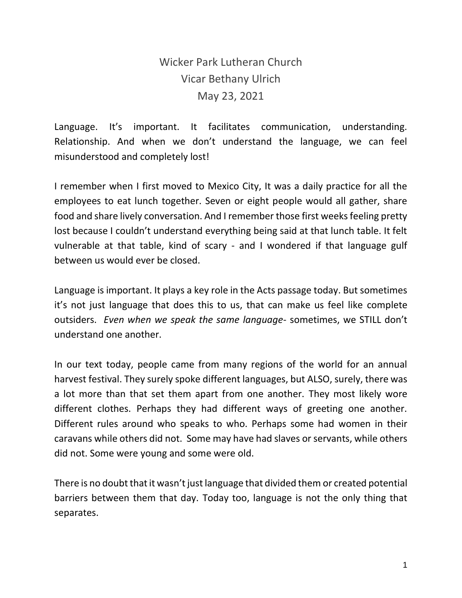## Wicker Park Lutheran Church Vicar Bethany Ulrich May 23, 2021

Language. It's important. It facilitates communication, understanding. Relationship. And when we don't understand the language, we can feel misunderstood and completely lost!

I remember when I first moved to Mexico City, It was a daily practice for all the employees to eat lunch together. Seven or eight people would all gather, share food and share lively conversation. And I remember those first weeks feeling pretty lost because I couldn't understand everything being said at that lunch table. It felt vulnerable at that table, kind of scary - and I wondered if that language gulf between us would ever be closed.

Language is important. It plays a key role in the Acts passage today. But sometimes it's not just language that does this to us, that can make us feel like complete outsiders. *Even when we speak the same language*- sometimes, we STILL don't understand one another.

In our text today, people came from many regions of the world for an annual harvest festival. They surely spoke different languages, but ALSO, surely, there was a lot more than that set them apart from one another. They most likely wore different clothes. Perhaps they had different ways of greeting one another. Different rules around who speaks to who. Perhaps some had women in their caravans while others did not. Some may have had slaves or servants, while others did not. Some were young and some were old.

There is no doubt that it wasn't just language that divided them or created potential barriers between them that day. Today too, language is not the only thing that separates.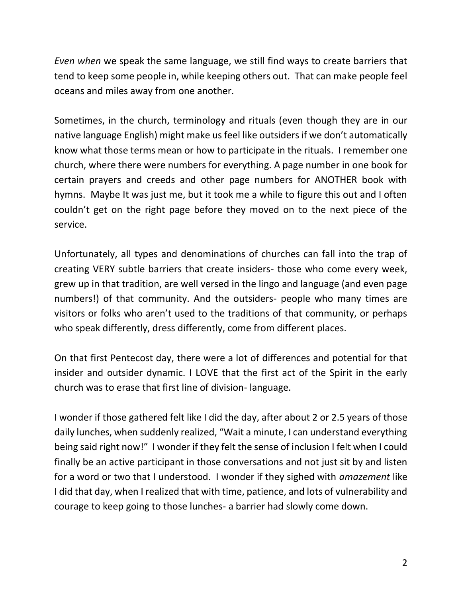*Even when* we speak the same language, we still find ways to create barriers that tend to keep some people in, while keeping others out. That can make people feel oceans and miles away from one another.

Sometimes, in the church, terminology and rituals (even though they are in our native language English) might make us feel like outsiders if we don't automatically know what those terms mean or how to participate in the rituals. I remember one church, where there were numbers for everything. A page number in one book for certain prayers and creeds and other page numbers for ANOTHER book with hymns. Maybe It was just me, but it took me a while to figure this out and I often couldn't get on the right page before they moved on to the next piece of the service.

Unfortunately, all types and denominations of churches can fall into the trap of creating VERY subtle barriers that create insiders- those who come every week, grew up in that tradition, are well versed in the lingo and language (and even page numbers!) of that community. And the outsiders- people who many times are visitors or folks who aren't used to the traditions of that community, or perhaps who speak differently, dress differently, come from different places.

On that first Pentecost day, there were a lot of differences and potential for that insider and outsider dynamic. I LOVE that the first act of the Spirit in the early church was to erase that first line of division- language.

I wonder if those gathered felt like I did the day, after about 2 or 2.5 years of those daily lunches, when suddenly realized, "Wait a minute, I can understand everything being said right now!" I wonder if they felt the sense of inclusion I felt when I could finally be an active participant in those conversations and not just sit by and listen for a word or two that I understood. I wonder if they sighed with *amazement* like I did that day, when I realized that with time, patience, and lots of vulnerability and courage to keep going to those lunches- a barrier had slowly come down.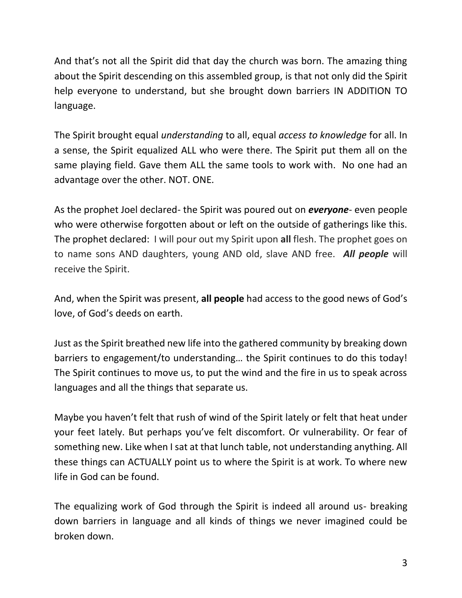And that's not all the Spirit did that day the church was born. The amazing thing about the Spirit descending on this assembled group, is that not only did the Spirit help everyone to understand, but she brought down barriers IN ADDITION TO language.

The Spirit brought equal *understanding* to all, equal *access to knowledge* for all. In a sense, the Spirit equalized ALL who were there. The Spirit put them all on the same playing field. Gave them ALL the same tools to work with. No one had an advantage over the other. NOT. ONE.

As the prophet Joel declared- the Spirit was poured out on *everyone*- even people who were otherwise forgotten about or left on the outside of gatherings like this. The prophet declared: I will pour out my Spirit upon **all** flesh. The prophet goes on to name sons AND daughters, young AND old, slave AND free. *All people* will receive the Spirit.

And, when the Spirit was present, **all people** had access to the good news of God's love, of God's deeds on earth.

Just as the Spirit breathed new life into the gathered community by breaking down barriers to engagement/to understanding… the Spirit continues to do this today! The Spirit continues to move us, to put the wind and the fire in us to speak across languages and all the things that separate us.

Maybe you haven't felt that rush of wind of the Spirit lately or felt that heat under your feet lately. But perhaps you've felt discomfort. Or vulnerability. Or fear of something new. Like when I sat at that lunch table, not understanding anything. All these things can ACTUALLY point us to where the Spirit is at work. To where new life in God can be found.

The equalizing work of God through the Spirit is indeed all around us- breaking down barriers in language and all kinds of things we never imagined could be broken down.